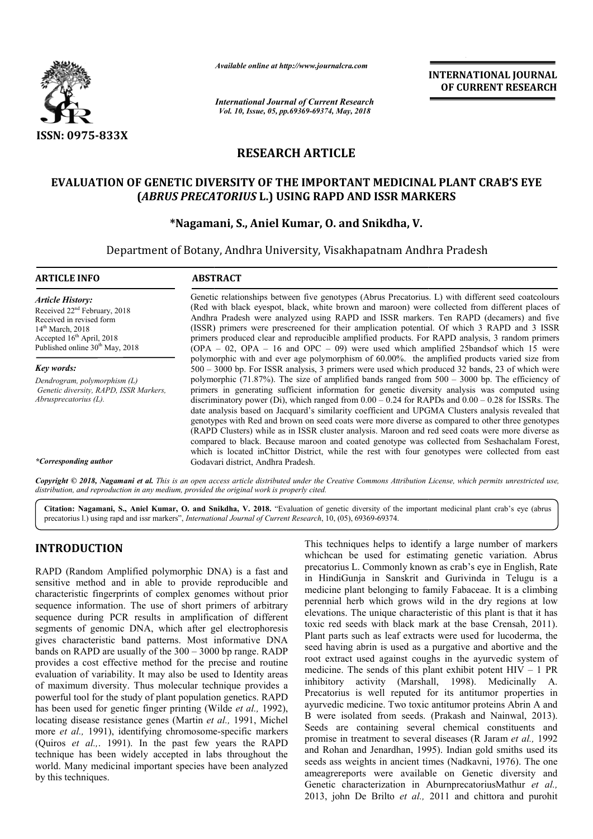

*Available online at http://www.journalcra.com*

*International Journal of Current Research Vol. 10, Issue, 05, pp.69369-69374, May, 2018*

**INTERNATIONAL JOURNAL OF CURRENT RESEARCH**

# **RESEARCH ARTICLE**

## **EVALUATION OF GENETIC DIVERSITY OF THE IMPORTANT MEDICINAL PLANT CRAB'S EYE**  F GENETIC DIVERSITY OF THE IMPORTANT MEDICINAL PLANT<br>(*ABRUS PRECATORIUS* L.) USING RAPD AND ISSR MARKERS

## **\*Nagamani, S. Nagamani, S., Aniel Kumar, O. and Snikdha, V.**

Department of Botany, Andhra University, Visakhapatnam Andhra Pradesh

| <b>ARTICLE INFO</b>                                                                                                                                                                                 | <b>ABSTRACT</b>                                                                                                                                                                                                                                                                                                                                                                                                                                                                                                                                                                                                                                                                                                                                                                                                                  |  |  |
|-----------------------------------------------------------------------------------------------------------------------------------------------------------------------------------------------------|----------------------------------------------------------------------------------------------------------------------------------------------------------------------------------------------------------------------------------------------------------------------------------------------------------------------------------------------------------------------------------------------------------------------------------------------------------------------------------------------------------------------------------------------------------------------------------------------------------------------------------------------------------------------------------------------------------------------------------------------------------------------------------------------------------------------------------|--|--|
| <b>Article History:</b><br>Received 22 <sup>nd</sup> February, 2018<br>Received in revised form<br>$14th$ March, 2018<br>Accepted $16th$ April, 2018<br>Published online 30 <sup>th</sup> May, 2018 | Genetic relationships between five genotypes (Abrus Precatorius. L) with different seed coatcolours<br>(Red with black eyespot, black, white brown and maroon) were collected from different places of<br>Andhra Pradesh were analyzed using RAPD and ISSR markers. Ten RAPD (decamers) and five<br>(ISSR) primers were prescreened for their amplication potential. Of which 3 RAPD and 3 ISSR<br>primers produced clear and reproducible amplified products. For RAPD analysis, 3 random primers<br>$(OPA - 02, OPA - 16$ and $OPC - 09$ ) were used which amplified 25bands of which 15 were                                                                                                                                                                                                                                  |  |  |
| Key words:                                                                                                                                                                                          | polymorphic with and ever age polymorphism of 60.00%. the amplified products varied size from<br>500 - 3000 bp. For ISSR analysis, 3 primers were used which produced 32 bands, 23 of which were                                                                                                                                                                                                                                                                                                                                                                                                                                                                                                                                                                                                                                 |  |  |
| Dendrogram, polymorphism (L)<br>Genetic diversity, RAPD, ISSR Markers,<br>Abrusprecatorius (L).                                                                                                     | polymorphic (71.87%). The size of amplified bands ranged from $500 - 3000$ bp. The efficiency of<br>primers in generating sufficient information for genetic diversity analysis was computed using<br>discriminatory power (Di), which ranged from $0.00 - 0.24$ for RAPDs and $0.00 - 0.28$ for ISSRs. The<br>date analysis based on Jacquard's similarity coefficient and UPGMA Clusters analysis revealed that<br>genotypes with Red and brown on seed coats were more diverse as compared to other three genotypes<br>(RAPD Clusters) while as in ISSR cluster analysis. Maroon and red seed coats were more diverse as<br>compared to black. Because maroon and coated genotype was collected from Seshachalam Forest,<br>which is located in Chittor District, while the rest with four genotypes were collected from east |  |  |
| *Corresponding author                                                                                                                                                                               | Godavari district, Andhra Pradesh.                                                                                                                                                                                                                                                                                                                                                                                                                                                                                                                                                                                                                                                                                                                                                                                               |  |  |

Copyright © 2018, Nagamani et al. This is an open access article distributed under the Creative Commons Attribution License, which permits unrestricted use, *distribution, and reproduction in any medium, provided the original work is properly cited.*

Citation: Nagamani, S., Aniel Kumar, O. and Snikdha, V. 2018. "Evaluation of genetic diversity of the important medicinal plant crab's eye (abrus precatorius l.) using rapd and issr markers", *International Journal of Current Research* , 10, (05), 69369-69374.

## **INTRODUCTION**

RAPD (Random Amplified polymorphic DNA) is a fast and sensitive method and in able to provide reproducible and characteristic fingerprints of complex genomes without prior sequence information. The use of short primers of arbitrary sequence during PCR results in amplification of different segments of genomic DNA, which after gel electrophoresis gives characteristic band patterns. Most informative DNA bands on RAPD are usually of the 300 – 3000 bp range. RADP provides a cost effective method for the precise evaluation of variability. It may also be used to Identity areas of maximum diversity. Thus molecular technique provides a powerful tool for the study of plant population genetics. RAPD has been used for genetic finger printing (Wilde *et al.,* 1992), locating disease resistance genes (Martin *et al.,* 1991, Michel more et al., 1991), identifying chromosome-specific markers (Quiros *et al.,*. 1991). In the past few years the RAPD technique has been widely accepted in labs throughout the world. Many medicinal important species have been analyzed by this techniques. lts in amplification of different<br>, which after gel electrophoresis<br>atterns. Most informative DNA<br>of the 300 – 3000 bp range. RADP<br>ethod for the precise and routine

This techniques helps to identify a large number of markers<br>
Amplified polymorphic DNA) is a fast and precatorius L. Commonly known as crab' seye in English, Rate<br>
and in able to provide reproducible and in HindGiGuija in This techniques helps to identify a large number of markers whichcan be used for estimating genetic variation. Abrus precatorius L. Commonly known as crab's eye in English, Rate in HindiGunja in Sanskrit and Gurivinda in Telugu is a medicine plant belonging to family Fabaceae. It is a climbing perennial herb which grows wild in the dry regions at low elevations. The unique characteristic of this plant is that it has toxic red seeds with black mark at the base Crensah, 2011). Plant parts such as leaf extracts were used for lucoderma, the seed having abrin is used as a purgative and abortive and the root extract used against coughs in the ayurvedic system of medicine. The sends of this plant exhibit potent  $HIV - 1 PR$ inhibitory activity (Marshall, 1998). Medicinally A. Precatorius is well reputed for its antitumor properties in ayurvedic medicine. Two toxic antitumor proteins Abrin A and B were isolated from seeds. (Prakash and Nainwal, 2013). inhibitory activity (Marshall, 1998). Medicinally A.<br>Precatorius is well reputed for its antitumor properties in<br>ayurvedic medicine. Two toxic antitumor proteins Abrin A and<br>B were isolated from seeds. (Prakash and Nainwal promise in treatment to several diseases (R Jaram *et al.,* 1992 and Rohan and Jenardhan, 1995). Indian gold smiths used its seeds ass weights in ancient times (Nadkavni, 1976). The one ameagrereports were available on Genetic diversity and Genetic characterization in AburnprecatoriusMathur et al., 2013, john De Brilto *et al.,* 2011 and chittora and purohit precatorius L. Commonly known as crab's eye in English, Rate in HindiGunja in Sanskrit and Gurivinda in Telugu is a medicine plant belonging to family Fabaceae. It is a climbing perennial herb which grows wild in the dry and Rohan and Jenardhan, 1995). Indian gold smiths used its seeds ass weights in ancient times (Nadkavni, 1976). The one ameagrereports were available on Genetic diversity and Genetic characterization in AburnprecatoriusMa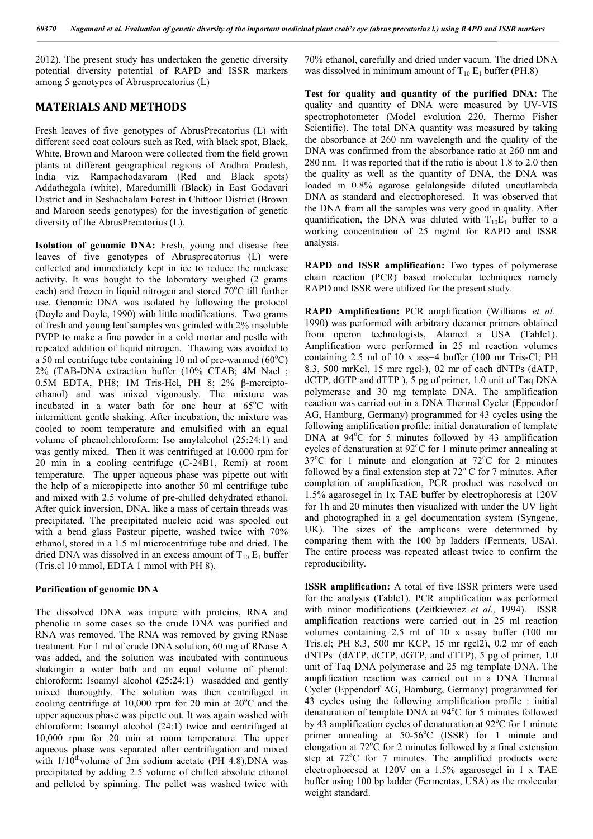2012). The present study has undertaken the genetic diversity potential diversity potential of RAPD and ISSR markers among 5 genotypes of Abrusprecatorius (L)

### **MATERIALS AND METHODS**

Fresh leaves of five genotypes of AbrusPrecatorius (L) with different seed coat colours such as Red, with black spot, Black, White, Brown and Maroon were collected from the field grown plants at different geographical regions of Andhra Pradesh, India viz. Rampachodavaram (Red and Black spots) Addathegala (white), Maredumilli (Black) in East Godavari District and in Seshachalam Forest in Chittoor District (Brown and Maroon seeds genotypes) for the investigation of genetic diversity of the AbrusPrecatorius (L).

**Isolation of genomic DNA:** Fresh, young and disease free leaves of five genotypes of Abrusprecatorius (L) were collected and immediately kept in ice to reduce the nuclease activity. It was bought to the laboratory weighed (2 grams each) and frozen in liquid nitrogen and stored 70°C till further use. Genomic DNA was isolated by following the protocol (Doyle and Doyle, 1990) with little modifications. Two grams of fresh and young leaf samples was grinded with 2% insoluble PVPP to make a fine powder in a cold mortar and pestle with repeated addition of liquid nitrogen. Thawing was avoided to a 50 ml centrifuge tube containing 10 ml of pre-warmed  $(60^{\circ}C)$ 2% (TAB-DNA extraction buffer (10% CTAB; 4M Nacl ; 0.5M EDTA, PH8; 1M Tris-Hcl, PH 8; 2% β-merciptoethanol) and was mixed vigorously. The mixture was incubated in a water bath for one hour at 65°C with intermittent gentle shaking. After incubation, the mixture was cooled to room temperature and emulsified with an equal volume of phenol:chloroform: Iso amylalcohol (25:24:1) and was gently mixed. Then it was centrifuged at 10,000 rpm for 20 min in a cooling centrifuge (C-24B1, Remi) at room temperature. The upper aqueous phase was pipette out with the help of a micropipette into another 50 ml centrifuge tube and mixed with 2.5 volume of pre-chilled dehydrated ethanol. After quick inversion, DNA, like a mass of certain threads was precipitated. The precipitated nucleic acid was spooled out with a bend glass Pasteur pipette, washed twice with 70% ethanol, stored in a 1.5 ml microcentrifuge tube and dried. The dried DNA was dissolved in an excess amount of  $T_{10} E_1$  buffer (Tris.cl 10 mmol, EDTA 1 mmol with PH 8).

#### **Purification of genomic DNA**

The dissolved DNA was impure with proteins, RNA and phenolic in some cases so the crude DNA was purified and RNA was removed. The RNA was removed by giving RNase treatment. For 1 ml of crude DNA solution, 60 mg of RNase A was added, and the solution was incubated with continuous shakingin a water bath and an equal volume of phenol: chloroform: Isoamyl alcohol (25:24:1) wasadded and gently mixed thoroughly. The solution was then centrifuged in cooling centrifuge at  $10,000$  rpm for 20 min at  $20^{\circ}$ C and the upper aqueous phase was pipette out. It was again washed with chloroform: Isoamyl alcohol (24:1) twice and centrifuged at 10,000 rpm for 20 min at room temperature. The upper aqueous phase was separated after centrifugation and mixed with  $1/10^{th}$ volume of 3m sodium acetate (PH 4.8). DNA was precipitated by adding 2.5 volume of chilled absolute ethanol and pelleted by spinning. The pellet was washed twice with

70% ethanol, carefully and dried under vacum. The dried DNA was dissolved in minimum amount of  $T_{10}$  E<sub>1</sub> buffer (PH.8)

**Test for quality and quantity of the purified DNA:** The quality and quantity of DNA were measured by UV-VIS spectrophotometer (Model evolution 220, Thermo Fisher Scientific). The total DNA quantity was measured by taking the absorbance at 260 nm wavelength and the quality of the DNA was confirmed from the absorbance ratio at 260 nm and 280 nm. It was reported that if the ratio is about 1.8 to 2.0 then the quality as well as the quantity of DNA, the DNA was loaded in 0.8% agarose gelalongside diluted uncutlambda DNA as standard and electrophoresed. It was observed that the DNA from all the samples was very good in quality. After quantification, the DNA was diluted with  $T_{10}E_1$  buffer to a working concentration of 25 mg/ml for RAPD and ISSR analysis.

**RAPD and ISSR amplification:** Two types of polymerase chain reaction (PCR) based molecular techniques namely RAPD and ISSR were utilized for the present study.

**RAPD Amplification:** PCR amplification (Williams *et al.,* 1990) was performed with arbitrary decamer primers obtained from operon technologists, Alamed a USA (Table1). Amplification were performed in 25 ml reaction volumes containing 2.5 ml of 10 x ass=4 buffer (100 mr Tris-Cl; PH 8.3, 500 mrKcl, 15 mre rgcl<sub>2</sub>), 02 mr of each dNTPs (dATP, dCTP, dGTP and dTTP ), 5 pg of primer, 1.0 unit of Taq DNA polymerase and 30 mg template DNA. The amplification reaction was carried out in a DNA Thermal Cycler (Eppendorf AG, Hamburg, Germany) programmed for 43 cycles using the following amplification profile: initial denaturation of template DNA at 94°C for 5 minutes followed by 43 amplification cycles of denaturation at 92°C for 1 minute primer annealing at  $37^{\circ}$ C for 1 minute and elongation at  $72^{\circ}$ C for 2 minutes followed by a final extension step at  $72^{\circ}$  C for 7 minutes. After completion of amplification, PCR product was resolved on 1.5% agarosegel in 1x TAE buffer by electrophoresis at 120V for 1h and 20 minutes then visualized with under the UV light and photographed in a gel documentation system (Syngene, UK). The sizes of the amplicons were determined by comparing them with the 100 bp ladders (Ferments, USA). The entire process was repeated atleast twice to confirm the reproducibility.

**ISSR amplification:** A total of five ISSR primers were used for the analysis (Table1). PCR amplification was performed with minor modifications (Zeitkiewiez *et al.,* 1994). ISSR amplification reactions were carried out in 25 ml reaction volumes containing 2.5 ml of 10 x assay buffer (100 mr Tris.cl; PH 8.3, 500 mr KCP, 15 mr rgcl2), 0.2 mr of each dNTPs (dATP, dCTP, dGTP, and dTTP), 5 pg of primer, 1.0 unit of Taq DNA polymerase and 25 mg template DNA. The amplification reaction was carried out in a DNA Thermal Cycler (Eppendorf AG, Hamburg, Germany) programmed for 43 cycles using the following amplification profile : initial denaturation of template DNA at 94°C for 5 minutes followed by 43 amplification cycles of denaturation at 92°C for 1 minute primer annealing at 50-56°C (ISSR) for 1 minute and elongation at  $72^{\circ}$ C for 2 minutes followed by a final extension step at 72°C for 7 minutes. The amplified products were electrophoresed at 120V on a 1.5% agarosegel in 1 x TAE buffer using 100 bp ladder (Fermentas, USA) as the molecular weight standard.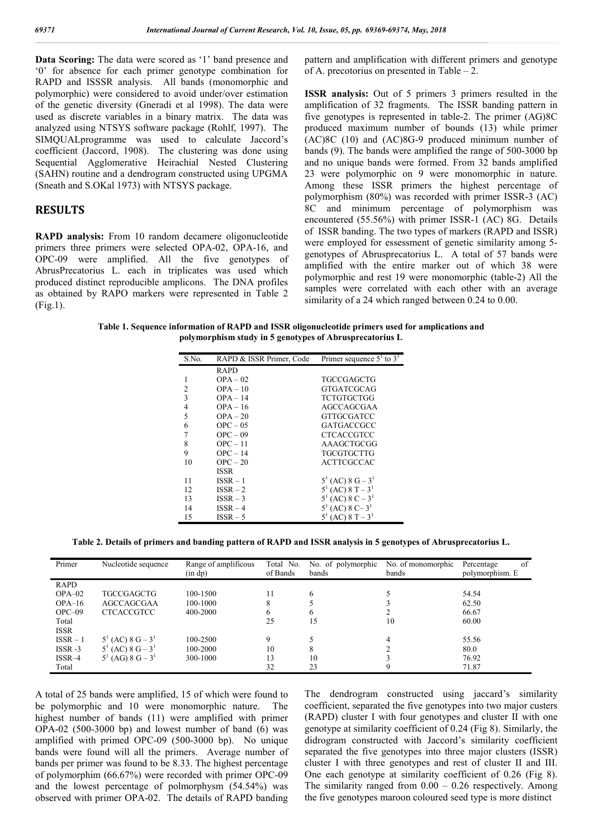**Data Scoring:** The data were scored as '1' band presence and '0' for absence for each primer genotype combination for RAPD and ISSSR analysis. All bands (monomorphic and polymorphic) were considered to avoid under/over estimation of the genetic diversity (Gneradi et al 1998). The data were used as discrete variables in a binary matrix. The data was analyzed using NTSYS software package (Rohlf, 1997). The SIMQUALprogramme was used to calculate Jaccord's coefficient (Jaccord, 1908). The clustering was done using Sequential Agglomerative Heirachial Nested Clustering (SAHN) routine and a dendrogram constructed using UPGMA (Sneath and S.OKal 1973) with NTSYS package.

### **RESULTS**

**RAPD analysis:** From 10 random decamere oligonucleotide primers three primers were selected OPA-02, OPA-16, and OPC-09 were amplified. All the five genotypes of AbrusPrecatorius L. each in triplicates was used which produced distinct reproducible amplicons. The DNA profiles as obtained by RAPO markers were represented in Table 2 (Fig.1).

pattern and amplification with different primers and genotype of A. precotorius on presented in Table  $-2$ .

**ISSR analysis:** Out of 5 primers 3 primers resulted in the amplification of 32 fragments. The ISSR banding pattern in five genotypes is represented in table-2. The primer (AG)8C produced maximum number of bounds (13) while primer (AC)8C (10) and (AC)8G-9 produced minimum number of bands (9). The bands were amplified the range of 500-3000 bp and no unique bands were formed. From 32 bands amplified 23 were polymorphic on 9 were monomorphic in nature. Among these ISSR primers the highest percentage of polymorphism (80%) was recorded with primer ISSR-3 (AC) 8C and minimum percentage of polymorphism was encountered (55.56%) with primer ISSR-1 (AC) 8G. Details of ISSR banding. The two types of markers (RAPD and ISSR) were employed for essessment of genetic similarity among 5 genotypes of Abrusprecatorius L. A total of 57 bands were amplified with the entire marker out of which 38 were polymorphic and rest 19 were monomorphic (table-2) All the samples were correlated with each other with an average similarity of a 24 which ranged between 0.24 to 0.00.

**Table 1. Sequence information of RAPD and ISSR oligonucleotide primers used for amplications and polymorphism study in 5 genotypes of Abrusprecatorius L**

| S.No.          | RAPD & ISSR Primer, Code | Primer sequence $51$ to $31$  |
|----------------|--------------------------|-------------------------------|
|                | <b>RAPD</b>              |                               |
| 1              | $OPA - 02$               | TGCCGAGCTG                    |
| $\overline{c}$ | $OPA - 10$               | GTGATCGCAG                    |
| 3              | $OPA - 14$               | TCTGTGCTGG                    |
| $\overline{4}$ | $OPA - 16$               | AGCCAGCGAA                    |
| 5              | $OPA - 20$               | GTTGCGATCC                    |
| 6              | $OPC - 05$               | GATGACCGCC                    |
| $\overline{7}$ | $OPC - 09$               | <b>CTCACCGTCC</b>             |
| 8              | $OPC - 11$               | AAAGCTGCGG                    |
| 9              | $OPC - 14$               | TGCGTGCTTG                    |
| 10             | $OPC - 20$               | <b>ACTTCGCCAC</b>             |
|                | <b>ISSR</b>              |                               |
| 11             | $ISSR - 1$               | $5^1$ (AC) 8 G – $3^1$        |
| 12             | $ISSR - 2$               | $5^1$ (AC) 8 T – $3^1$        |
| 13             | $ISSR - 3$               | $5^1$ (AC) 8 C – $3^1$        |
| 14             | $ISSR - 4$               | $5^1$ (AC) 8 C-3 <sup>1</sup> |
| 15             | $ISSR-5$                 | $(AC)$ 8 T – 3 <sup>1</sup>   |

**Table 2. Details of primers and banding pattern of RAPD and ISSR analysis in 5 genotypes of Abrusprecatorius L.**

| Primer      | Nucleotide sequence    | Range of amplificous<br>(in dp) | Total No.<br>of Bands | No. of polymorphic<br>bands | No. of monomorphic<br>bands | Percentage<br>of<br>polymorphism. E |
|-------------|------------------------|---------------------------------|-----------------------|-----------------------------|-----------------------------|-------------------------------------|
| <b>RAPD</b> |                        |                                 |                       |                             |                             |                                     |
| $OPA-02$    | <b>TGCCGAGCTG</b>      | 100-1500                        | 11                    | 6                           |                             | 54.54                               |
| $OPA-16$    | AGCCAGCGAA             | 100-1000                        | 8                     |                             |                             | 62.50                               |
| $OPC=09$    | <b>CTCACCGTCC</b>      | 400-2000                        | 6                     | 6                           |                             | 66.67                               |
| Total       |                        |                                 | 25                    | 15                          | 10                          | 60.00                               |
| <b>ISSR</b> |                        |                                 |                       |                             |                             |                                     |
| $ISSR - 1$  | $5^1$ (AC) 8 G – $3^1$ | 100-2500                        | 9                     |                             |                             | 55.56                               |
| $ISSR -3$   | $5^1$ (AC) 8 G – $3^1$ | 100-2000                        | 10                    | 8                           |                             | 80.0                                |
| $ISSR-4$    | $5^1$ (AG) 8 G – $3^1$ | 300-1000                        | 13                    | 10                          |                             | 76.92                               |
| Total       |                        |                                 | 32                    | 23                          |                             | 71.87                               |

A total of 25 bands were amplified, 15 of which were found to be polymorphic and 10 were monomorphic nature. The highest number of bands (11) were amplified with primer OPA-02 (500-3000 bp) and lowest number of band (6) was amplified with primed OPC-09 (500-3000 bp). No unique bands were found will all the primers. Average number of bands per primer was found to be 8.33. The highest percentage of polymorphim (66.67%) were recorded with primer OPC-09 and the lowest percentage of polmorphysm (54.54%) was observed with primer OPA-02. The details of RAPD banding

The dendrogram constructed using jaccard's similarity coefficient, separated the five genotypes into two major custers (RAPD) cluster I with four genotypes and cluster II with one genotype at similarity coefficient of 0.24 (Fig 8). Similarly, the didrogram constructed with Jaccord's similarity coefficient separated the five genotypes into three major clusters (ISSR) cluster I with three genotypes and rest of cluster II and III. One each genotype at similarity coefficient of 0.26 (Fig 8). The similarity ranged from  $0.00 - 0.26$  respectively. Among the five genotypes maroon coloured seed type is more distinct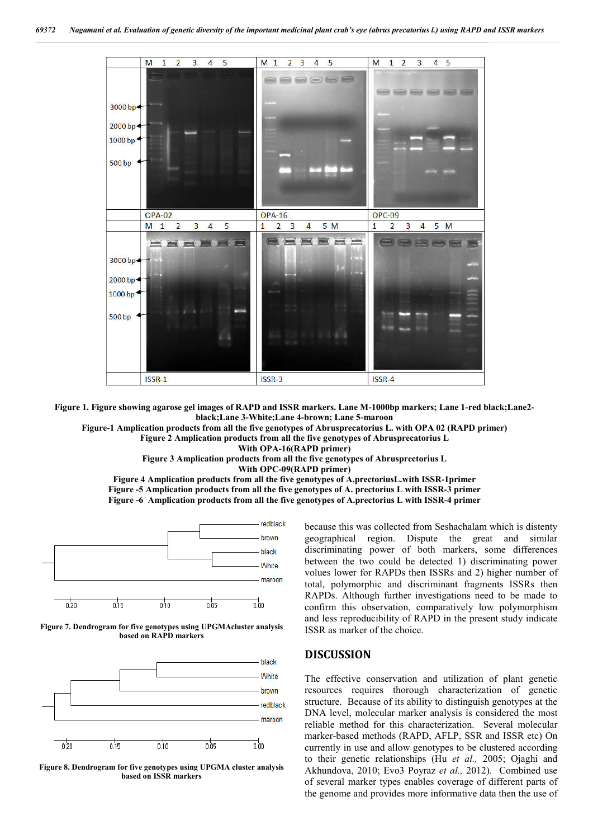

**Figure 1. Figure showing agarose gel images of RAPD and ISSR markers. Lane M-1000bp markers; Lane 1-red black;Lane2 black;Lane 3-White;Lane 4-brown; Lane 5-maroon**

**Figure-1 Amplication products from all the five genotypes of Abrusprecatorius L. with OPA 02 (RAPD primer)**

**Figure 2 Amplication products from all the five genotypes of Abrusprecatorius L**

**With OPA-16(RAPD primer)**

**Figure 3 Amplication products from all the five genotypes of Abrusprectorius L**

**With OPC-09(RAPD primer)**

**Figure 4 Amplication products from all the five genotypes of A.prectoriusL.with ISSR-1primer Figure -5 Amplication products from all the five genotypes of A. prectorius L with ISSR-3 primer Figure -6 Amplication products from all the five genotypes of A.prectorius L with ISSR-4 primer**







**Figure 8. Dendrogram for five genotypes using UPGMA cluster analysis based on ISSR markers**

because this was collected from Seshachalam which is distenty geographical region. Dispute the great and similar discriminating power of both markers, some differences between the two could be detected 1) discriminating power volues lower for RAPDs then ISSRs and 2) higher number of total, polymorphic and discriminant fragments ISSRs then RAPDs. Although further investigations need to be made to confirm this observation, comparatively low polymorphism and less reproducibility of RAPD in the present study indicate ISSR as marker of the choice.

### **DISCUSSION**

The effective conservation and utilization of plant genetic resources requires thorough characterization of genetic structure. Because of its ability to distinguish genotypes at the DNA level, molecular marker analysis is considered the most reliable method for this characterization. Several molecular marker-based methods (RAPD, AFLP, SSR and ISSR etc) On currently in use and allow genotypes to be clustered according to their genetic relationships (Hu *et al.,* 2005; Ojaghi and Akhundova, 2010; Evo3 Poyraz *et al.,* 2012). Combined use of several marker types enables coverage of different parts of the genome and provides more informative data then the use of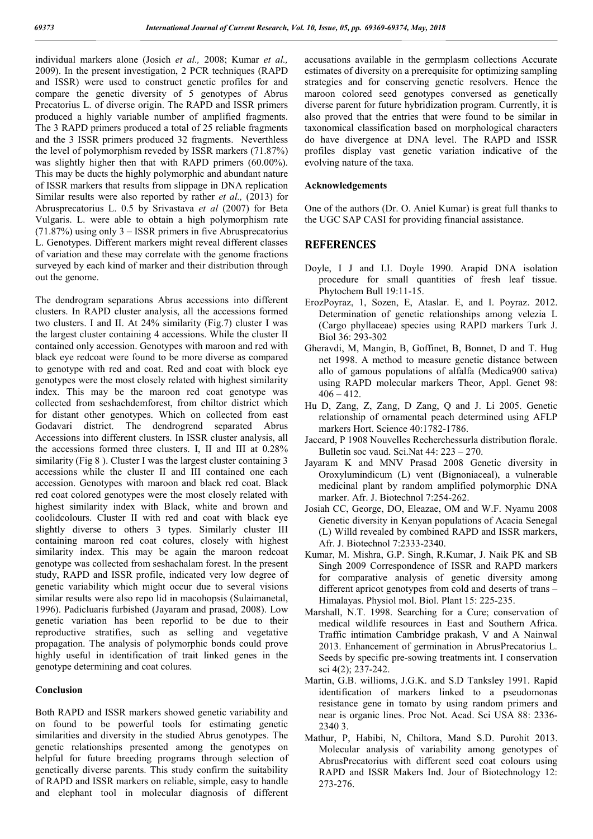individual markers alone (Josich *et al.,* 2008; Kumar *et al.,* 2009). In the present investigation, 2 PCR techniques (RAPD and ISSR) were used to construct genetic profiles for and compare the genetic diversity of 5 genotypes of Abrus Precatorius L. of diverse origin. The RAPD and ISSR primers produced a highly variable number of amplified fragments. The 3 RAPD primers produced a total of 25 reliable fragments and the 3 ISSR primers produced 32 fragments. Neverthless the level of polymorphism reveded by ISSR markers (71.87%) was slightly higher then that with RAPD primers (60.00%). This may be ducts the highly polymorphic and abundant nature of ISSR markers that results from slippage in DNA replication Similar results were also reported by rather *et al.,* (2013) for Abrusprecatorius L. 0.5 by Srivastava *et al* (2007) for Beta Vulgaris. L. were able to obtain a high polymorphism rate (71.87%) using only 3 – ISSR primers in five Abrusprecatorius L. Genotypes. Different markers might reveal different classes of variation and these may correlate with the genome fractions surveyed by each kind of marker and their distribution through out the genome.

The dendrogram separations Abrus accessions into different clusters. In RAPD cluster analysis, all the accessions formed two clusters. I and II. At 24% similarity (Fig.7) cluster I was the largest cluster containing 4 accessions. While the cluster II contained only accession. Genotypes with maroon and red with black eye redcoat were found to be more diverse as compared to genotype with red and coat. Red and coat with block eye genotypes were the most closely related with highest similarity index. This may be the maroon red coat genotype was collected from seshachdemforest, from chiltor district which for distant other genotypes. Which on collected from east Godavari district. The dendrogrend separated Abrus Accessions into different clusters. In ISSR cluster analysis, all the accessions formed three clusters. I, II and III at 0.28% similarity (Fig 8). Cluster I was the largest cluster containing 3 accessions while the cluster II and III contained one each accession. Genotypes with maroon and black red coat. Black red coat colored genotypes were the most closely related with highest similarity index with Black, white and brown and coolidcolours. Cluster II with red and coat with black eye slightly diverse to others 3 types. Similarly cluster III containing maroon red coat colures, closely with highest similarity index. This may be again the maroon redcoat genotype was collected from seshachalam forest. In the present study, RAPD and ISSR profile, indicated very low degree of genetic variability which might occur due to several visions similar results were also repo lid in macohopsis (Sulaimanetal, 1996). Padicluaris furbished (Jayaram and prasad, 2008). Low genetic variation has been reporlid to be due to their reproductive stratifies, such as selling and vegetative propagation. The analysis of polymorphic bonds could prove highly useful in identification of trait linked genes in the genotype determining and coat colures.

#### **Conclusion**

Both RAPD and ISSR markers showed genetic variability and on found to be powerful tools for estimating genetic similarities and diversity in the studied Abrus genotypes. The genetic relationships presented among the genotypes on helpful for future breeding programs through selection of genetically diverse parents. This study confirm the suitability of RAPD and ISSR markers on reliable, simple, easy to handle and elephant tool in molecular diagnosis of different

accusations available in the germplasm collections Accurate estimates of diversity on a prerequisite for optimizing sampling strategies and for conserving genetic resolvers. Hence the maroon colored seed genotypes conversed as genetically diverse parent for future hybridization program. Currently, it is also proved that the entries that were found to be similar in taxonomical classification based on morphological characters do have divergence at DNA level. The RAPD and ISSR profiles display vast genetic variation indicative of the evolving nature of the taxa.

#### **Acknowledgements**

One of the authors (Dr. O. Aniel Kumar) is great full thanks to the UGC SAP CASI for providing financial assistance.

## **REFERENCES**

- Doyle, I J and I.I. Doyle 1990. Arapid DNA isolation procedure for small quantities of fresh leaf tissue. Phytochem Bull 19:11-15.
- ErozPoyraz, 1, Sozen, E, Ataslar. E, and I. Poyraz. 2012. Determination of genetic relationships among velezia L (Cargo phyllaceae) species using RAPD markers Turk J. Biol 36: 293-302
- Gheravdi, M, Mangin, B, Goffinet, B, Bonnet, D and T. Hug net 1998. A method to measure genetic distance between allo of gamous populations of alfalfa (Medica900 sativa) using RAPD molecular markers Theor, Appl. Genet 98:  $406 - 412$ .
- Hu D, Zang, Z, Zang, D Zang, Q and J. Li 2005. Genetic relationship of ornamental peach determined using AFLP markers Hort. Science 40:1782-1786.
- Jaccard, P 1908 Nouvelles Recherchessurla distribution florale. Bulletin soc vaud. Sci.Nat 44: 223 – 270.
- Jayaram K and MNV Prasad 2008 Genetic diversity in Oroxylumindicum (L) vent (Bignoniaceal), a vulnerable medicinal plant by random amplified polymorphic DNA marker. Afr. J. Biotechnol 7:254-262.
- Josiah CC, George, DO, Eleazae, OM and W.F. Nyamu 2008 Genetic diversity in Kenyan populations of Acacia Senegal (L) Willd revealed by combined RAPD and ISSR markers, Afr. J. Biotechnol 7:2333-2340.
- Kumar, M. Mishra, G.P. Singh, R.Kumar, J. Naik PK and SB Singh 2009 Correspondence of ISSR and RAPD markers for comparative analysis of genetic diversity among different apricot genotypes from cold and deserts of trans – Himalayas. Physiol mol. Biol. Plant 15: 225-235.
- Marshall, N.T. 1998. Searching for a Cure; conservation of medical wildlife resources in East and Southern Africa. Traffic intimation Cambridge prakash, V and A Nainwal 2013. Enhancement of germination in AbrusPrecatorius L. Seeds by specific pre-sowing treatments int. I conservation sci 4(2); 237-242.
- Martin, G.B. willioms, J.G.K. and S.D Tanksley 1991. Rapid identification of markers linked to a pseudomonas resistance gene in tomato by using random primers and near is organic lines. Proc Not. Acad. Sci USA 88: 2336- 2340 3.
- Mathur, P, Habibi, N, Chiltora, Mand S.D. Purohit 2013. Molecular analysis of variability among genotypes of AbrusPrecatorius with different seed coat colours using RAPD and ISSR Makers Ind. Jour of Biotechnology 12: 273-276.